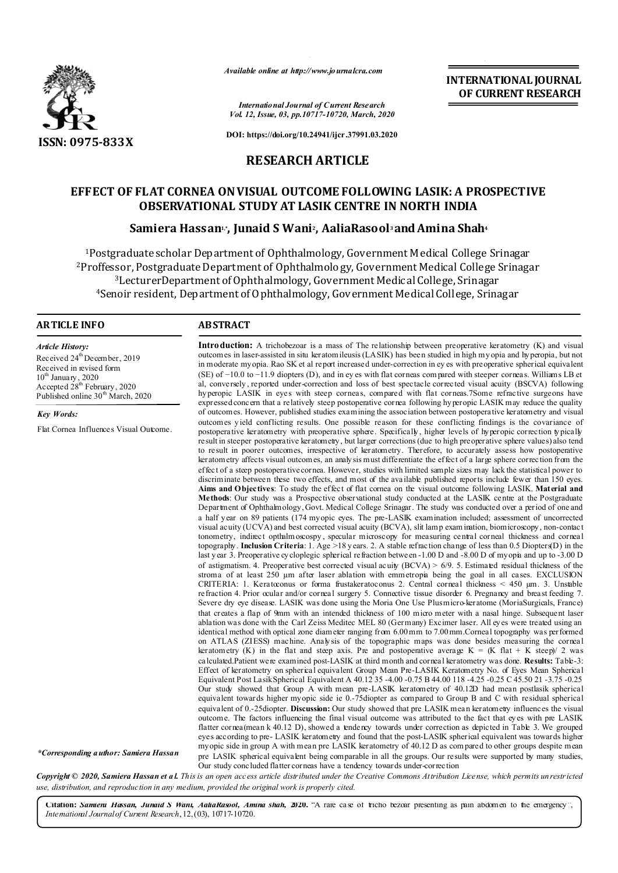

*Available online at http://www.journalcra.com*

*International Journal of Current Research Vol. 12, Issue, 03, pp.10717-10720, March, 2020*

**INTERNATIONAL JOURNAL OF CURRENT RESEARCH**

**DOI: https://doi.org/10.24941/ijcr.37991.03.2020**

## **RESEARCH ARTICLE**

# **EFFECT OF FLAT CORNEA ONVISUAL OUTCOME FOLLOWING LASIK: A PROSPECTIVE OBSERVATIONAL STUDY AT LASIK CENTRE IN NORTH INDIA**

## **Samiera Hassan1,\*, Junaid S Wani2, AaliaRasool3 andAmina Shah4**

1Postgraduate scholar Department of Ophthalmology, Government Medical College Srinagar <sup>2</sup>Proffessor, Postgraduate Department of Ophthalmology, Government Medical College Srinagar 3LecturerDepartment of Ophthalmology, Government Medical College, Srinagar 4Senoir resident, Department of Ophthalmology, Government Medical College, Srinagar

#### **ARTICLE INFO ABSTRACT**

*Article History:* Received 24<sup>th</sup> December, 2019 Received in revised form 10<sup>th</sup> January, 2020 Accepted 28<sup>th</sup> February, 2020 Published online 30<sup>th</sup> March, 2020

*Key Words:*

Flat Cornea Influences Visual Outcome.

**Introduction:** A trichobezoar is a mass of The relationship between preoperative keratometry (K) and visual outcomes in laser-assisted in situ keratomileusis(LASIK) has been studied in high myopia and hyperopia, but not in moderate myopia. Rao SK et al report increased under-correction in ey es with preoperative spherical equivalent (SE) of −10.0 to −11.9 diopters (D), and in ey es with flat corneas com pared with steeper corneas. Williams LB et al, conversely , reported under-correction and loss of best spectacle corrected visual acuity (BSCVA) following hyperopic LASIK in eyes with steep corneas, compared with flat corneas.7Some refractive surgeons have expressedconcern that a relatively steep postoperative cornea following hyperopic LASIK may reduce the quality of outcomes. However, published studies examining the association between postoperative keratometry and visual outcomes yield conflicting results. One possible reason for these conflicting findings is the covariance of postoperative keratometry with preoperative sphere. Specifically, higher levels of hyperopic correction typically result in steeper postoperative keratometry, but larger corrections(due to high preoperative sphere values) also tend to result in poorer outcomes, irrespective of keratometry. Therefore, to accurately assess how postoperative keratometry affects visual outcomes, an analysis must differentiate the effect of a large sphere correction from the effect of a steep postoperative cornea. However, studies with limited sample sizes may lack the statistical power to discriminate between these two effects, and most of the available published reports include fewer than 150 eyes. **Aims and Objectives**: To study the effect of flat cornea on the visual outcome following LASIK. **Material and Methods**: Our study was a Prospective observational study conducted at the LASIK centre at the Postgraduate Department of Ophthalmology,Govt. Medical College Srinagar. The study was conducted over a period of one and a half year on 89 patients (174 myopic eyes. The pre-LASIK examination included; assessment of uncorrected visual acuity (UCVA) and best corrected visual acuity (BCVA), slit lamp exam ination, biomicroscopy, non-contact tonometry, indirect opthalmoscospy , specular microscopy for measuring central corneal thickness and corneal topography. **Inclusion Criteria**: 1. Age >18 years. 2. A stable refraction change of less than 0.5 Diopters(D) in the last year 3. Preoperative cycloplegic spherical refraction between -1.00 D and -8.00 D of myopia and up to -3.00 D of astigmatism. 4. Preoperative best corrected visual acuity (BCVA) > 6/9. 5. Estimated residual thickness of the stroma of at least 250 µm after laser ablation with emmetropia being the goal in all cases. EXCLUSION CRITERIA: 1. Keratoconus or forma frustakeratoconus 2. Central corneal thickness < 450 µm. 3. Unstable refraction 4. Prior ocular and/or corneal surgery 5. Connective tissue disorder 6. Pregnancy and breast feeding 7. Severe dry eye disease. LASIK was done using the Moria One Use Plusmicro-keratome (MoriaSurgicals, France) that creates a flap of 9mm with an intended thickness of 100 micro meter with a nasal hinge. Subsequent laser ablation was done with the Carl Zeiss Meditec MEL 80 (Germany) Excimer laser. All eyes were treated using an identical method with optical zone diameter ranging from 6.00mm to 7.00mm.Corneal topography was performed on ATLAS (ZIESS) machine. Analysis of the topographic maps was done besides measuring the corneal keratometry (K) in the flat and steep axis. Pre and postoperative average  $K = (K \text{ flat} + K \text{ steep})/2$  was calculated.Patient were examined post-LASIK at third month and corneal keratometry was done. **Results:** Table-3: Effect of keratometry on spherical equivalent Group Mean Pre-LASIK Keratometry No. of Eyes Mean Spherical Equivalent Post LasikSpherical Equivalent A 40.12 35 -4.00 -0.75 B 44.00 118 -4.25 -0.25 C 45.50 21 -3.75 -0.25 Our study showed that Group A with mean pre-LASIK keratometry of 40.12D had mean postlasik spherical equivalent towards higher myopic side ie 0.-75diopter as compared to Group B and C with residual spherical equivalent of 0.-25diopter. **Discussion:** Our study showed that pre LASIK mean keratometry influences the visual outcome. The factors influencing the final visual outcome was attributed to the fact that eyes with pre LASIK flatter cornea(mean k 40.12 D), showed a tendency towards under correction as depicted in Table 3. We grouped eyes according to pre- LASIK keratometry and found that the post-LASIK spherical equivalent was towards higher myopic side in group A with mean pre LASIK keratometry of 40.12 D as com pared to other groups despite mean pre LASIK spherical equivalent being comparable in all the groups. Our results were supported by many studies, Our study concluded flatter corneas have a tendency towards under-correction

*\*Corresponding author: Samiera Hassan*

Copyright © 2020, Samiera Hassan et al. This is an open access article distributed under the Creative Commons Attribution License, which permits unrestricted *use, distribution, and reproduction in any medium, provided the original work is properly cited.*

**Citation:** *Samiera Hassan, Junaid S Wani, AaliaRasool, Amina shah,* **2020.** "A rare case of tricho bezoar presenting as pain abdomen to the emergency", *International Journalof Current Research*,12,(03), 10717-10720.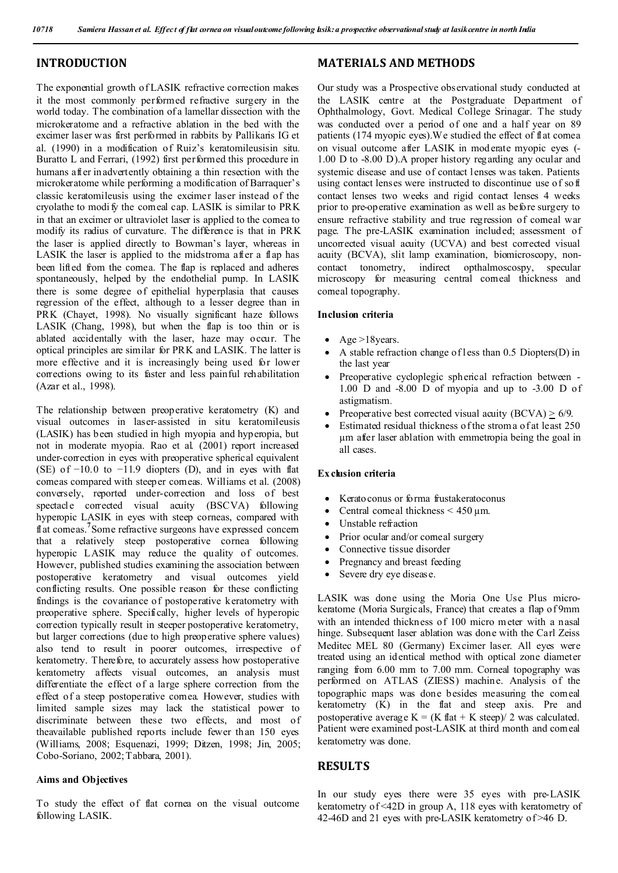## **INTRODUCTION**

The exponential growth of LASIK refractive correction makes it the most commonly performed refractive surgery in the world today. The combination of a lamellar dissection with the microkeratome and a refractive ablation in the bed with the excimer laser was first performed in rabbits by Pallikaris IG et al. (1990) in a modification of Ruiz's keratomileusisin situ*.* Buratto L and Ferrari, (1992) first performed this procedure in humans after inadvertently obtaining a thin resection with the microkeratome while performing a modification of Barraquer's classic keratomileusis using the excimer laser instead of the cryolathe to modi fy the corneal cap. LASIK is similar to PRK in that an excimer or ultraviolet laser is applied to the cornea to modify its radius of curvature. The difference is that in PRK the laser is applied directly to Bowman's layer, whereas in LASIK the laser is applied to the midstroma after a flap has been lifted from the cornea. The flap is replaced and adheres spontaneously, helped by the endothelial pump. In LASIK there is some degree of epithelial hyperplasia that causes regression of the effect, although to a lesser degree than in PRK (Chayet, 1998). No visually significant haze follows LASIK (Chang, 1998), but when the flap is too thin or is ablated accidentally with the laser, haze may occur. The optical principles are similar for PRK and LASIK. The latter is more effective and it is increasingly being used for lower corrections owing to its faster and less painful rehabilitation (Azar et al., 1998).

The relationship between preoperative keratometry (K) and visual outcomes in laser-assisted in situ keratomileusis (LASIK) has been studied in high myopia and hyperopia, but not in moderate myopia. Rao et al. (2001) report increased under-correction in eyes with preoperative spherical equivalent (SE) of  $-10.0$  to  $-11.9$  diopters (D), and in eyes with flat comeas compared with steeper comeas. Williams et al. (2008) conversely, reported under-correction and loss of best spectacle corrected visual acuity (BSCVA) following hyperopic LASIK in eyes with steep corneas, compared with flat comeas.<sup>7</sup>Some refractive surgeons have expressed concern that a relatively steep postoperative cornea following hyperopic LASIK may reduce the quality of outcomes. However, published studies examining the association between postoperative keratometry and visual outcomes yield conflicting results. One possible reason for these conflicting findings is the covariance of postoperative keratometry with preoperative sphere. Specifically, higher levels of hyperopic correction typically result in steeper postoperative keratometry, but larger corrections (due to high preoperative sphere values) also tend to result in poorer outcomes, irrespective of keratometry. Therefore, to accurately assess how postoperative keratometry affects visual outcomes, an analysis must differentiate the effect of a large sphere correction from the effect of a steep postoperative cornea. However, studies with limited sample sizes may lack the statistical power to discriminate between these two effects, and most of theavailable published reports include fewer than 150 eyes (Williams, 2008; Esquenazi, 1999; Ditzen, 1998; Jin, 2005; Cobo-Soriano, 2002;Tabbara, 2001).

## **Aims and Objectives**

To study the effect of flat cornea on the visual outcome following LASIK.

# **MATERIALS AND METHODS**

Our study was a Prospective observational study conducted at the LASIK centre at the Postgraduate Department of Ophthalmology, Govt. Medical College Srinagar. The study was conducted over a period of one and a half year on 89 patients (174 myopic eyes).We studied the effect of flat cornea on visual outcome after LASIK in moderate myopic eyes (- 1.00 D to -8.00 D).A proper history regarding any ocular and systemic disease and use of contact lenses was taken. Patients using contact lenses were instructed to discontinue use of soft contact lenses two weeks and rigid contact lenses 4 weeks prior to pre-operative examination as well as before surgery to ensure refractive stability and true regression of corneal war page. The pre-LASIK examination included; assessment of uncorrected visual acuity (UCVA) and best corrected visual acuity (BCVA), slit lamp examination, biomicroscopy, noncontact tonometry, indirect opthalmoscospy, specular microscopy for measuring central corneal thickness and corneal topography.

## **Inclusion criteria**

- Age  $>18$ years.
- A stable refraction change of less than 0.5 Diopters(D) in the last year
- Preoperative cycloplegic spherical refraction between 1.00 D and -8.00 D of myopia and up to -3.00 D of astigmatism*.*
- Preoperative best corrected visual acuity  $(BCVA) > 6/9$ .
- Estimated residual thickness ofthe stroma of at least 250 µm after laser ablation with emmetropia being the goal in all cases.

## **Ex clusion criteria**

- Keratoconus or forma frustakeratoconus
- Central corneal thickness  $\leq 450 \,\mu m$ .
- Unstable refraction
- Prior ocular and/or corneal surgery
- Connective tissue disorder
- Pregnancy and breast feeding
- Severe dry eye disease.

LASIK was done using the Moria One Use Plus microkeratome (Moria Surgicals, France) that creates a flap of 9mm with an intended thickness of 100 micro meter with a nasal hinge. Subsequent laser ablation was done with the Carl Zeiss Meditec MEL 80 (Germany) Excimer laser. All eyes were treated using an identical method with optical zone diameter ranging from 6.00 mm to 7.00 mm. Corneal topography was performed on ATLAS (ZIESS) machine. Analysis of the topographic maps was done besides measuring the comeal keratometry (K) in the flat and steep axis. Pre and postoperative average  $K = (K \text{ flat} + K \text{ steep})/2$  was calculated. Patient were examined post-LASIK at third month and comeal keratometry was done.

## **RESULTS**

In our study eyes there were 35 eyes with pre-LASIK keratometry of <42D in group A, 118 eyes with keratometry of 42-46D and 21 eyes with pre-LASIK keratometry of >46 D.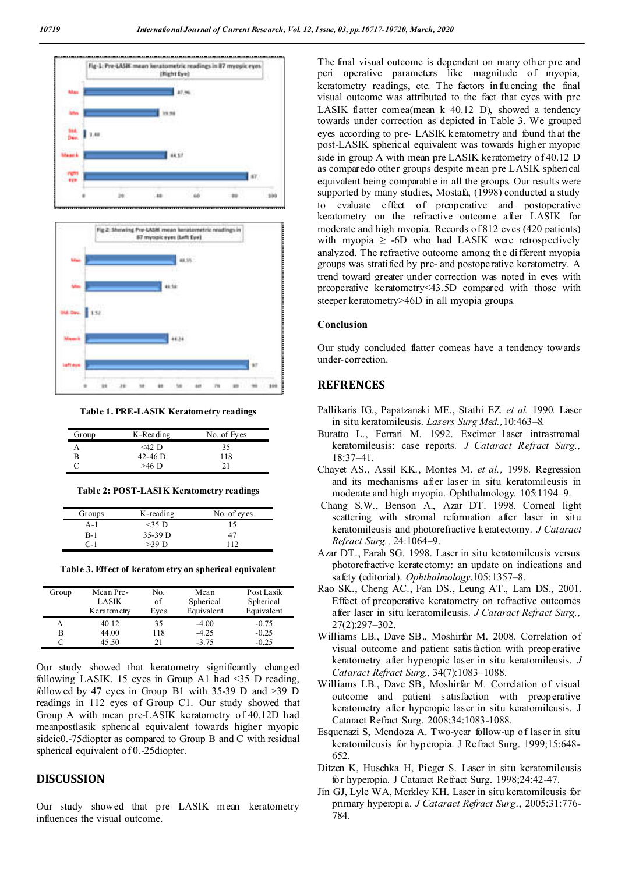



**Table 1. PRE-LASIK Keratometry readings**

| Group | K-Reading | No. of Eyes |
|-------|-----------|-------------|
|       | $<$ 42 D  | 35          |
| B     | 42-46 D   | 118         |
|       | $>46$ D   | 21          |

| Groups | K-reading | No. of eyes |
|--------|-----------|-------------|
| $A-1$  | $<$ 35 D  | ۱5          |
| B-1    | $35-39$ D |             |
| $C-1$  | $>39$ D   | 112         |

**Table 3. Effect of keratometry on spherical equivalent**

| Group | Mean Pre-<br>LASIK | No.<br>of | Mean<br>Spherical | Post Lasik<br>Spherical |
|-------|--------------------|-----------|-------------------|-------------------------|
|       | Keratometry        | Eves      | Equivalent        | Equivalent              |
|       | 40.12              | 35        | $-4.00$           | $-0.75$                 |
| В     | 44.00              | 118       | $-4.25$           | $-0.25$                 |
|       | 45.50              | 21        | $-3.75$           | $-0.25$                 |

Our study showed that keratometry significantly changed following LASIK. 15 eyes in Group A1 had <35 D reading, followed by 47 eyes in Group B1 with 35-39 D and >39 D readings in 112 eyes of Group C1. Our study showed that Group A with mean pre-LASIK keratometry of 40.12D had meanpostlasik spherical equivalent towards higher myopic sideie0.-75diopter as compared to Group B and C with residual spherical equivalent of 0.-25diopter.

## **DISCUSSION**

Our study showed that pre LASIK mean keratometry influences the visual outcome.

The final visual outcome is dependent on many other pre and peri operative parameters like magnitude of myopia, keratometry readings, etc. The factors influencing the final visual outcome was attributed to the fact that eyes with pre LASIK flatter cornea(mean k 40.12 D), showed a tendency towards under correction as depicted in Table 3. We grouped eyes according to pre- LASIK keratometry and found that the post-LASIK spherical equivalent was towards higher myopic side in group A with mean pre LASIK keratometry of 40.12 D as comparedo other groups despite mean pre LASIK spherical equivalent being comparable in all the groups. Our results were supported by many studies, Mostafa, (1998) conducted a study to evaluate effect of preoperative and postoperative keratometry on the refractive outcome after LASIK for moderate and high myopia. Records of 812 eyes (420 patients) with myopia  $\geq$  -6D who had LASIK were retrospectively analyzed. The refractive outcome among the different myopia groups was stratified by pre- and postoperative keratometry. A trend toward greater under correction was noted in eyes with preoperative keratometry<43.5D compared with those with steeper keratometry>46D in all myopia groups.

#### **Conclusion**

Our study concluded flatter corneas have a tendency towards under-correction.

## **REFRENCES**

- Pallikaris IG., Papatzanaki ME., Stathi EZ. *et al.* 1990. Laser in situ keratomileusis. *Lasers Surg Med.,*10:463–8.
- Buratto L., Ferrari M. 1992. Excimer laser intrastromal keratomileusis: case reports*. J Cataract Refract Surg.,* 18:37–41.
- Chayet AS., Assil KK., Montes M. *et al.,* 1998. Regression and its mechanisms after laser in situ keratomileusis in moderate and high myopia. Ophthalmology. 105:1194–9.
- Chang S.W., Benson A., Azar DT. 1998. Corneal light scattering with stromal reformation after laser in situ keratomileusis and photorefractive keratectomy. *J Cataract Refract Surg.,* 24:1064–9.
- Azar DT., Farah SG. 1998. Laser in situ keratomileusis versus photorefractive keratectomy: an update on indications and safety (editorial). *Ophthalmology*.105:1357–8.
- Rao SK., Cheng AC., Fan DS., Leung AT., Lam DS., 2001. Effect of preoperative keratometry on refractive outcomes after laser in situ keratomileusis. *J Cataract Refract Surg.,* 27(2):297–302.
- Williams LB., Dave SB., Moshirfar M. 2008. Correlation of visual outcome and patient satisfaction with preoperative keratometry after hyperopic laser in situ keratomileusis. *J Cataract Refract Surg.,* 34(7):1083–1088.
- Williams LB., Dave SB, Moshirfar M. Correlation of visual outcome and patient satisfaction with preoperative keratometry after hyperopic laser in situ keratomileusis. J Cataract Refract Surg. 2008;34:1083-1088.
- Esquenazi S, Mendoza A. Two-year follow-up of laser in situ keratomileusis for hyperopia. J Refract Surg. 1999;15:648- 652.
- Ditzen K, Huschka H, Pieger S. Laser in situ keratomileusis for hyperopia. J Cataract Refract Surg. 1998;24:42-47.
- Jin GJ, Lyle WA, Merkley KH. Laser in situ keratomileusis for primary hyperopia. *J Cataract Refract Surg*., 2005;31:776- 784.